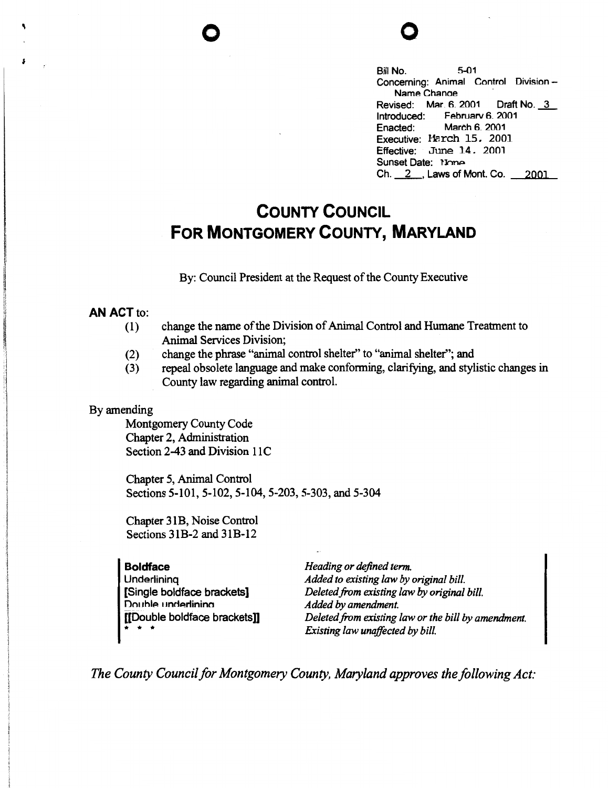Bill No. 5-01 Concerning: Animal Control Division - Name Chanae Revised: Mar. 6. 2001 Draft No. \_3\_ Introduced: February 6, 2001<br>Enacted: March 6, 2001 March 6. 2001 Executive: Harch 15. 2001 Effective: June 14. 2001 Sunset Date: None Ch. 2 . Laws of Mont. Co. 2001

## **COUNTY COUNCIL FOR MONTGOMERY COUNTY, MARYLAND**

By: Council President at the Request of the County Executive

## **AN ACT** to:

- (1) change the name of the Division of Animal Control and Humane Treatment to Animal Services Division;
- (2) change the phrase "animal control shelter'' to "animal shelter''; and
- (3) repeal obsolete language and make conforming, clarifying, and stylistic changes in County law regarding animal control.

## By amending

Montgomery County Code Chapter 2, Administration Section 2-43 and Division 11C

Chapter 5, Animal Control Sections 5-101, 5-102, 5-104, 5-203, 5-303, and 5-304

Chapter 31B, Noise Control Sections 31B-2 and 31B-12

| <b>Boldface</b>                                                                   | Heading or defined term.                            |
|-----------------------------------------------------------------------------------|-----------------------------------------------------|
| Underlining                                                                       | Added to existing law by original bill.             |
| [Single boldface brackets]                                                        | Deleted from existing law by original bill.         |
| Double underlining                                                                | Added by amendment.                                 |
| [[Double boldface brackets]]                                                      | Deleted from existing law or the bill by amendment. |
| $\begin{array}{cccccccccccccc} \bullet & \bullet & \bullet & \bullet \end{array}$ | Existing law unaffected by bill.                    |

*The County Council for Montgomery County, Maryland approves the following Act:*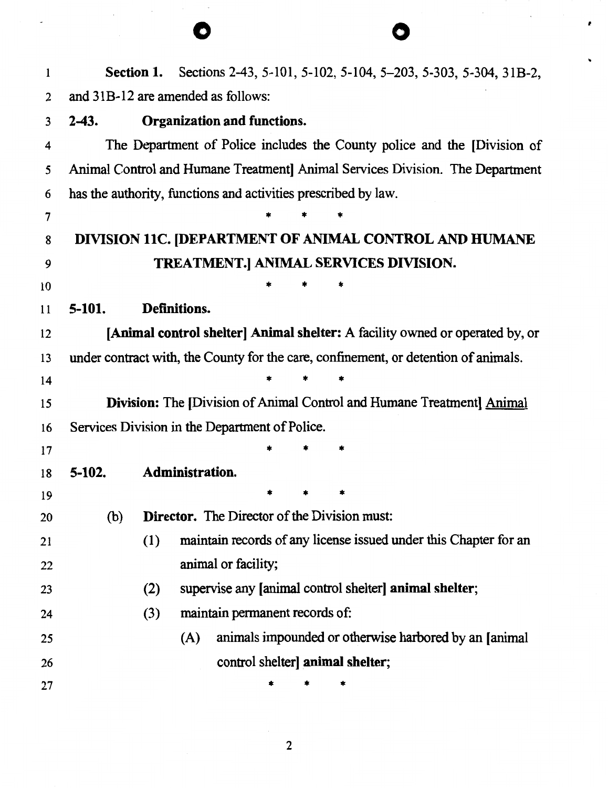| $\mathbf{1}$ |         | <b>Section 1.</b> |                                                                |  |                                  | Sections 2-43, 5-101, 5-102, 5-104, 5-203, 5-303, 5-304, 31B-2,                     |
|--------------|---------|-------------------|----------------------------------------------------------------|--|----------------------------------|-------------------------------------------------------------------------------------|
| 2            |         |                   | and 31B-12 are amended as follows:                             |  |                                  |                                                                                     |
| 3            | $2-43.$ |                   | Organization and functions.                                    |  |                                  |                                                                                     |
| 4            |         |                   |                                                                |  |                                  | The Department of Police includes the County police and the [Division of            |
| 5            |         |                   |                                                                |  |                                  | Animal Control and Humane Treatment Animal Services Division. The Department        |
| 6            |         |                   | has the authority, functions and activities prescribed by law. |  |                                  |                                                                                     |
| 7            |         |                   |                                                                |  |                                  |                                                                                     |
| 8            |         |                   |                                                                |  |                                  | DIVISION 11C. [DEPARTMENT OF ANIMAL CONTROL AND HUMANE                              |
| 9            |         |                   |                                                                |  |                                  | TREATMENT.] ANIMAL SERVICES DIVISION.                                               |
| 10           |         |                   |                                                                |  |                                  |                                                                                     |
| 11           | 5-101.  |                   | Definitions.                                                   |  |                                  |                                                                                     |
| 12           |         |                   |                                                                |  |                                  | [Animal control shelter] Animal shelter: A facility owned or operated by, or        |
| 13           |         |                   |                                                                |  |                                  | under contract with, the County for the care, confinement, or detention of animals. |
| 14           |         |                   |                                                                |  |                                  |                                                                                     |
| 15           |         |                   |                                                                |  |                                  | <b>Division:</b> The [Division of Animal Control and Humane Treatment] Animal       |
| 16           |         |                   | Services Division in the Department of Police.                 |  |                                  |                                                                                     |
| 17           |         |                   |                                                                |  |                                  |                                                                                     |
| 18           | 5-102.  |                   | <b>Administration.</b>                                         |  |                                  |                                                                                     |
| 19           |         |                   |                                                                |  |                                  |                                                                                     |
| 20           | (b)     |                   | <b>Director.</b> The Director of the Division must:            |  |                                  |                                                                                     |
| 21           |         | (1)               |                                                                |  |                                  | maintain records of any license issued under this Chapter for an                    |
| 22           |         |                   | animal or facility;                                            |  |                                  |                                                                                     |
| 23           |         | (2)               |                                                                |  |                                  | supervise any [animal control shelter] animal shelter;                              |
| 24           |         | (3)               | maintain permanent records of:                                 |  |                                  |                                                                                     |
| 25           |         |                   | (A)                                                            |  |                                  | animals impounded or otherwise harbored by an [animal]                              |
| 26           |         |                   |                                                                |  | control shelter] animal shelter; |                                                                                     |
| 27           |         |                   |                                                                |  |                                  |                                                                                     |

 $\hat{L}$ 

,

 $\frac{1}{2}$ 

 $\hat{\mathcal{A}}$ 

2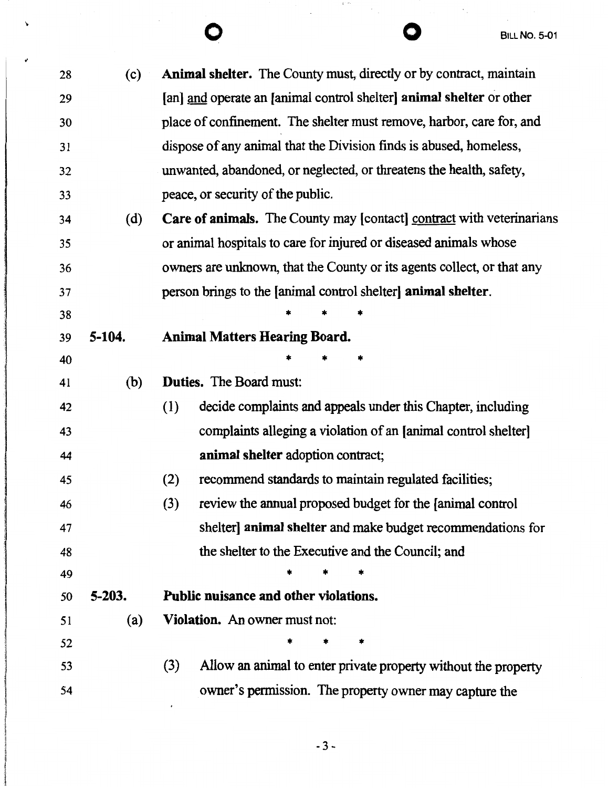$\ddot{\cdot}$ 

 $\overline{\phantom{a}}$ 

 $\lambda$ 

| 28 | (c)        | <b>Animal shelter.</b> The County must, directly or by contract, maintain    |
|----|------------|------------------------------------------------------------------------------|
| 29 |            | [an] and operate an [animal control shelter] animal shelter or other         |
| 30 |            | place of confinement. The shelter must remove, harbor, care for, and         |
| 31 |            | dispose of any animal that the Division finds is abused, homeless,           |
| 32 |            | unwanted, abandoned, or neglected, or threatens the health, safety,          |
| 33 |            | peace, or security of the public.                                            |
| 34 | (d)        | <b>Care of animals.</b> The County may [contact] contract with veterinarians |
| 35 |            | or animal hospitals to care for injured or diseased animals whose            |
| 36 |            | owners are unknown, that the County or its agents collect, or that any       |
| 37 |            | person brings to the [animal control shelter] animal shelter.                |
| 38 |            |                                                                              |
| 39 | $5 - 104.$ | <b>Animal Matters Hearing Board.</b>                                         |
| 40 |            |                                                                              |
| 41 | (b)        | <b>Duties.</b> The Board must:                                               |
| 42 |            | decide complaints and appeals under this Chapter, including<br>(1)           |
| 43 |            | complaints alleging a violation of an [animal control shelter]               |
| 44 |            | animal shelter adoption contract;                                            |
| 45 |            | recommend standards to maintain regulated facilities;<br>(2)                 |
| 46 |            | review the annual proposed budget for the [animal control]<br>(3)            |
| 47 |            | shelter] animal shelter and make budget recommendations for                  |
| 48 |            | the shelter to the Executive and the Council; and                            |
| 49 |            |                                                                              |
| 50 | $5 - 203.$ | Public nuisance and other violations.                                        |
| 51 | (a)        | <b>Violation.</b> An owner must not:                                         |
| 52 |            | *<br>*                                                                       |
| 53 |            | Allow an animal to enter private property without the property<br>(3)        |
| 54 |            | owner's permission. The property owner may capture the                       |
|    |            |                                                                              |

 $\label{eq:2.1} \frac{d}{dt} \frac{d^2}{dt^2} \frac{d^2\theta}{dt^2} = \frac{1}{2} \frac{d^2\theta}{dt^2} \frac{d^2\theta}{dt^2} \frac{d^2\theta}{dt^2} = \frac{1}{2} \frac{d^2\theta}{dt^2} \frac{d^2\theta}{dt^2} \frac{d^2\theta}{dt^2} = \frac{1}{2} \frac{d^2\theta}{dt^2} \frac{d^2\theta}{dt^2} \frac{d^2\theta}{dt^2} = \frac{1}{2} \frac{d^2\theta}{dt^2} \frac{d^2\theta}{dt^2} = \frac{1$ 

 $\bar{\mathcal{A}}$ 

-3-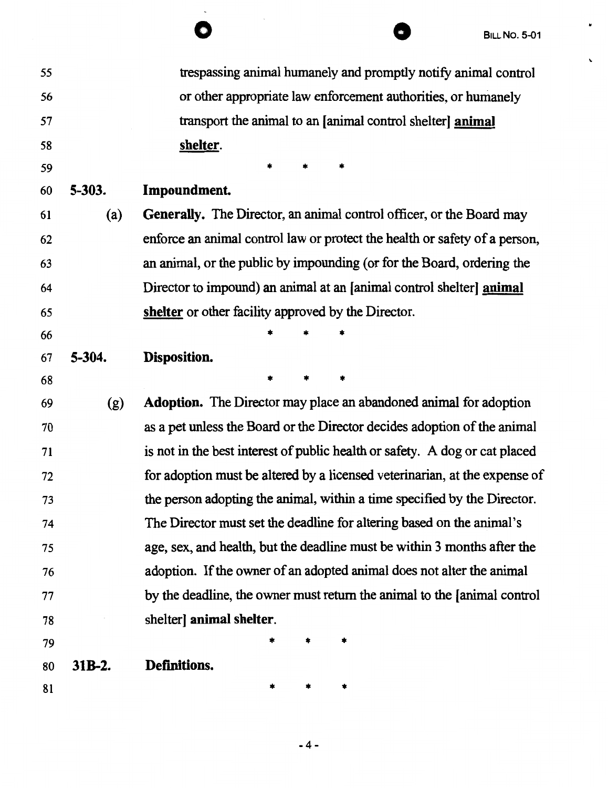$\bullet$ 

 $\bar{\mathbf{v}}$ 

| 55 |            | trespassing animal humanely and promptly notify animal control              |
|----|------------|-----------------------------------------------------------------------------|
| 56 |            | or other appropriate law enforcement authorities, or humanely               |
| 57 |            | transport the animal to an [animal control shelter] animal                  |
| 58 |            | shelter.                                                                    |
| 59 |            | *                                                                           |
| 60 | $5 - 303.$ | Impoundment.                                                                |
| 61 | (a)        | <b>Generally.</b> The Director, an animal control officer, or the Board may |
| 62 |            | enforce an animal control law or protect the health or safety of a person,  |
| 63 |            | an animal, or the public by impounding (or for the Board, ordering the      |
| 64 |            | Director to impound) an animal at an [animal control shelter] animal        |
| 65 |            | shelter or other facility approved by the Director.                         |
| 66 |            |                                                                             |
| 67 | 5-304.     | Disposition.                                                                |
| 68 |            | *<br>*                                                                      |
| 69 | (g)        | <b>Adoption.</b> The Director may place an abandoned animal for adoption    |
| 70 |            | as a pet unless the Board or the Director decides adoption of the animal    |
| 71 |            | is not in the best interest of public health or safety. A dog or cat placed |
| 72 |            | for adoption must be altered by a licensed veterinarian, at the expense of  |
| 73 |            | the person adopting the animal, within a time specified by the Director.    |
| 74 |            | The Director must set the deadline for altering based on the animal's       |
| 75 |            | age, sex, and health, but the deadline must be within 3 months after the    |
| 76 |            | adoption. If the owner of an adopted animal does not alter the animal       |
| 77 |            | by the deadline, the owner must return the animal to the [animal control    |
| 78 |            | shelter] animal shelter.                                                    |
| 79 |            |                                                                             |
| 80 | 31B-2.     | Definitions.                                                                |
| 81 |            | *                                                                           |

-4-